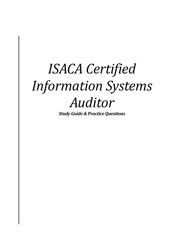# *ISACA Certified Information Systems Auditor*

*Study Guide & Practice Questions*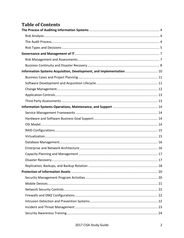# **Table of Contents**

| Information Systems Acquisition, Development, and Implementation  10 |  |
|----------------------------------------------------------------------|--|
|                                                                      |  |
|                                                                      |  |
|                                                                      |  |
|                                                                      |  |
|                                                                      |  |
|                                                                      |  |
|                                                                      |  |
|                                                                      |  |
|                                                                      |  |
|                                                                      |  |
|                                                                      |  |
|                                                                      |  |
|                                                                      |  |
|                                                                      |  |
|                                                                      |  |
|                                                                      |  |
|                                                                      |  |
|                                                                      |  |
|                                                                      |  |
|                                                                      |  |
|                                                                      |  |
|                                                                      |  |
|                                                                      |  |
|                                                                      |  |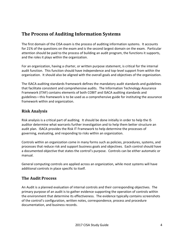# <span id="page-3-0"></span>**The Process of Auditing Information Systems**

The first domain of the CISA exam is the process of auditing information systems. It accounts for 21% of the questions on the exam and is the second largest domain on the exam. Particular attention should be paid to the process of building an audit program, the functions it supports, and the roles it plays within the organization.

For an organization, having a charter, or written purpose statement, is critical for the internal audit function. This function should have independence and top-level support from within the organization. It should also be aligned with the overall goals and objectives of the organization.

The ISACA auditing standards framework defines the mandatory audit standards and guidelines that facilitate consistent and comprehensive audits. The Information Technology Assurance Framework (ITAF) contains elements of both COBIT and ISACA auditing standards and guidelines—this framework is to be used as a comprehensive guide for instituting the assurance framework within and organization.

#### <span id="page-3-1"></span>**Risk Analysis**

Risk analysis is a critical part of auditing. It should be done initially in order to help the IS auditor determine what warrants further investigation and to help them better structure an audit plan. ISACA provides the Risk IT Framework to help determine the processes of governing, evaluating, and responding to risks within an organization.

Controls within an organization come in many forms such as policies, procedures, systems, and processes that reduce risk and support business goals and objectives. Each control should have a documented objective that states the control's purpose. Controls can be either automatic or manual.

General computing controls are applied across an organization, while most systems will have additional controls in place specific to itself.

## <span id="page-3-2"></span>**The Audit Process**

An Audit is a planned evaluation of internal controls and their corresponding objectives. The primary purpose of an audit is to gather evidence supporting the operation of controls within the environment that determine its effectiveness. The evidence typically contains screenshots of the control's configuration, written notes, correspondence, process and procedure documentation, and business records.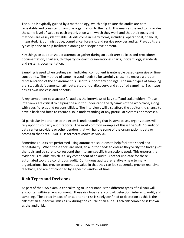The audit is typically guided by a methodology, which help ensure the audits are both repeatable and consistent from one organization to the next. This ensures the auditor provides the same level of value to each organization with which they work and that their goals and methods are easily identifiable. Audits come in many forms, including: operational, financial, integrated, IS, administrative, compliance, forensic, and service provider audits. Pre-audits are typically done to help facilitate planning and scope development.

Key things an auditor should attempt to gather during an audit are: policies and procedures documentation, charters, third-party contract, organizational charts, incident logs, standards and systems documentation.

Sampling is used when testing each individual component is untenable based upon size or time constraints. The method of sampling used needs to be carefully chosen to ensure a proper representation of the environment is used to support any findings. The main types of sampling are: statistical, judgmental, attribute, stop-or-go, discovery, and stratified sampling. Each type has its own use-case and benefits.

A key component to a successful audit is the interviews of key staff and stakeholders. These interviews are critical to helping the auditor understand the dynamics of the workplace, along with specific roles and responsibilities. The interviews will also afford the auditor the chance to have a back and forth to ensure a solid understanding of any particular systems or processes.

Of particular importance to the exam is understanding that in some cases, organizations will rely upon third-party audit reports. The most common example of this is the SSAE 16 audit of data center providers or other vendors that will handle some of the organization's data or access to that data. SSAE 16 is formerly known as SAS 70.

Sometimes audits are performed using automated solutions to help facilitate speed and repeatability. When these tools are used, an auditor needs to ensure they verify the findings of the tools and be sure to correspond them to any specific transactions used. This ensures the evidence is reliable, which is a key component of an audit. Another use-case for these automated tools is a continuous audit. Continuous audits are relatively new to many organizations, but provide tremendous value in that they can look at trends, provide real-time feedback, and are not confined by a specific window of time.

#### <span id="page-4-0"></span>**Risk Types and Decisions**

As part of the CISA exam, a critical thing to understand is the different types of risk you will encounter within an environment. These risk types are: control, detection, inherent, audit, and sampling. The direct impact of an auditor on risk is solely confined to detection as this is the risk that an auditor will miss a risk during the course of an audit. Each risk combined is known as the audit risk.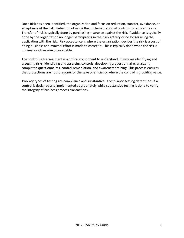Once Risk has been identified, the organization and focus on reduction, transfer, avoidance, or acceptance of the risk. Reduction of risk is the implementation of controls to reduce the risk. Transfer of risk is typically done by purchasing insurance against the risk. Avoidance is typically done by the organization no longer participating in the risky activity or no longer using the application with the risk. Risk acceptance is where the organization decides the risk is a cost of doing business and minimal effort is made to correct it. This is typically done when the risk is minimal or otherwise unavoidable.

The control self-assessment is a critical component to understand. It involves identifying and assessing risks, identifying and assessing controls, developing a questionnaire, analyzing completed questionnaires, control remediation, and awareness training. This process ensures that protections are not foregone for the sake of efficiency where the control is providing value.

Two key types of testing are compliance and substantive. Compliance testing determines if a control is designed and implemented appropriately while substantive testing is done to verify the integrity of business process transactions.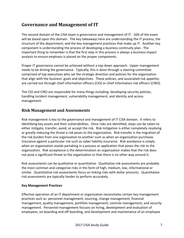# <span id="page-6-0"></span>**Governance and Management of IT**

The second domain of the CISA exam is governance and management of IT. 16% of the exam will be based upon this domain. The key takeaways here are understanding the IT process, the structure of the department, and the key management practices that make up IT. Another key component is understanding the process of developing a business continuity plan. The important thing to remember is that the first step in this process is always a business impact analysis to ensure emphasis is placed on the proper components.

Proper IT governance cannot be achieved without a top-down approach. Upper management needs to be driving the governance. Typically, this is done through a steering committee comprised of top executives who set the strategic direction and policies for the organization that align with the business' goals and objectives. These policies, and associated risk appetite, are carried out through chief information officers (CIO) or chief information risk officers (CIRO).

The CIO and CIRO are responsible for many things including: developing security policies, handling incident management, vulnerability management, and identity and access management.

#### <span id="page-6-1"></span>**Risk Management and Assessments**

Risk management is key to the governance and management of IT CISA domain. It refers to identifying key assets and their vulnerabilities. Once risks are identified, steps can be taken to either mitigate, transfer, avoid, or accept the risk. Risk mitigation is either completely resolving or greatly reducing the threat a risk poses to the organization. Risk transfer is the migration of the risk burden from one organization to another such as when an organization purchases insurance against a particular risk such as cyber liability insurance. Risk avoidance is simply when an organization avoids partaking in a process or application that poses the risk to the organization. Risk acceptance is the determination an organization makes that the risk does not pose a significant threat to the organization or that there is no other way around it.

Risk assessments can be qualitative or quantitative. Qualitative risk assessments are probably the most common and categorize risks in the form of high, medium, low, informational or similar. Quantitative risk assessments focus on linking risks with dollar amounts. Quantitative risk assessments are typically harder to perform accurately.

#### **Key Management Practices**

Effective operation of an IT department or organization necessitates certain key management practices such as: personnel management, sourcing, change management, financial management, quality management, portfolio management, controls management, and security management. Personnel management focuses on hiring, development and evaluation of employees, on-boarding and off-boarding, and development and maintenance of an employee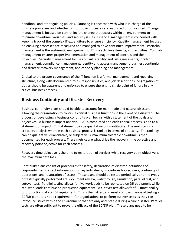handbook and other guiding policies. Sourcing is concerned with who is in charge of the business processes and whether or not those processes are insourced or outsourced. Change management is focused on controlling the change that occurs within an environment to minimize downtime, variables, and security issues. Financial management is concerned with keeping track of the complex IT expenditure to ensure efficiency. Quality management focuses on ensuring processes are measured and managed to drive continued improvement. Portfolio management is the systematic management of IT projects, investments, and activities. Controls management ensures proper implementation and management of controls and their objectives. Security management focuses on vulnerability and risk assessments, incident management, compliance management, identity and access management, business continuity and disaster recovery management, and capacity planning and management.

Critical to the proper governance of the IT function is a formal management and reporting structure, along with documented roles, responsibilities, and job descriptions. Segregation of duties should be apparent and enforced to ensure there is no single point of failure in any critical business process.

#### <span id="page-7-0"></span>**Business Continuity and Disaster Recovery**

Business continuity plans should be able to account for man-made and natural disasters allowing the organization to continue critical business functions in the event of a disaster. The process of developing a business continuity plan begins with a statement of the goals and objectives. A business impact analysis (BIA) is completed and each critical process is tied to a statement of impact. This statement can be qualitative or quantitative. The next step is a criticality analysis wherein each business process is ranked in terms of criticality. The rankings can be qualitative, quantitative, or subjective. A maximum tolerable downtime is then documented for each process. These metrics are what drive the recovery time objective and recovery point objective for each process.

Recovery time objective is the time to restoration of services while recovery point objective is the maximum data loss.

Continuity plans consist of procedures for safety, declaration of disaster, definitions of responsibilities, contact information for key individuals, procedures for recovery, continuity of operations, and restoration of assets. These plans should be tested periodically and the types of tests typically performed are: document review, walkthrough, simulation, parallel test, and cutover test. Parallel testing allows for live workloads to be replicated on DR equipment while real workloads continue on production equipment. A cutover test allows for full functionality of production data on DR equipment. This is the riskiest and most complex means of testing a BC/DR plan. It is not a requirement for organizations to perform cutover tests as they can introduce issues within the environment that are only acceptable during a true disaster. Parallel tests are often sufficient to prove the efficacy of the BC/DR plan. These plans need to be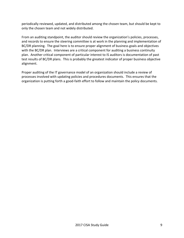periodically reviewed, updated, and distributed among the chosen team, but should be kept to only the chosen team and not widely distributed.

From an auditing standpoint, the auditor should review the organization's policies, processes, and records to ensure the steering committee is at work in the planning and implementation of BC/DR planning. The goal here is to ensure proper alignment of business goals and objectives with the BC/DR plan. Interviews are a critical component for auditing a business continuity plan. Another critical component of particular interest to IS auditors is documentation of past test results of BC/DR plans. This is probably the greatest indicator of proper business objective alignment.

Proper auditing of the IT governance model of an organization should include a review of processes involved with updating policies and procedures documents. This ensures that the organization is putting forth a good-faith effort to follow and maintain the policy documents.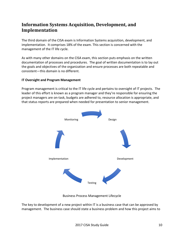# <span id="page-9-0"></span>**Information Systems Acquisition, Development, and Implementation**

The third domain of the CISA exam is Information Systems acquisition, development, and implementation. It comprises 18% of the exam. This section is concerned with the management of the IT life cycle.

As with many other domains on the CISA exam, this section puts emphasis on the written documentation of processes and procedures. The goal of written documentation is to lay out the goals and objectives of the organization and ensure processes are both repeatable and consistent—this domain is no different.

#### **IT Oversight and Program Management**

Program management is critical to the IT life cycle and pertains to oversight of IT projects. The leader of this effort is known as a program manager and they're responsible for ensuring the project managers are on-task, budgets are adhered to, resource allocation is appropriate, and that status reports are prepared when needed for presentation to senior management.



Business Process Management Lifecycle

The key to development of a new project within IT is a business case that can be approved by management. The business case should state a business problem and how this project aims to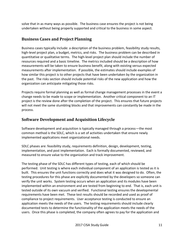solve that in as many ways as possible. The business case ensures the project is not being undertaken without being properly supported and critical to the business in some aspect.

#### <span id="page-10-0"></span>**Business Cases and Project Planning**

Business cases typically include: a description of the business problem, feasibility study results, high-level project plan, a budget, metrics, and risks. The business problem can be described in quantitative or qualitative terms. The high-level project plan should include the number of resources required and a basic timeline. The metrics included should be a description of how measurements will be taken to ensure business benefit, along with existing versus expected measurements after implementation. If possible, the estimates should include examples of how similar this project is to other projects that have been undertaken by the organization in the past. The risks section should include potential risks of the new application and how the organization can anticipate mitigating those risks.

Projects require formal planning as well as formal change management processes in the event a change needs to be made to scope or implementation. Another critical component to an IT project is the review done after the completion of the project. This ensures that future projects will not meet the same stumbling blocks and that improvements can constantly be made in the process.

#### <span id="page-10-1"></span>**Software Development and Acquisition Lifecycle**

Software development and acquisition is typically managed through a process—the most common method is the SDLC, which is a set of activities undertaken that ensure newly implemented applications meet organizational needs.

SDLC phases are: feasibility study, requirements definition, design, development, testing, implementation, and post implementation. Each is formally documented, reviewed, and measured to ensure value to the organization and track improvement.

The testing phase of the SDLC has different types of testing, each of which should be performed. Unit testing is where each individual component of an application is tested as it is built. This ensures the unit functions correctly and does what it was designed to do. Often, the testing procedures for this phase are explicitly documented by the developers so someone can verify the unit works. System testing occurs when an application and its modules have been implemented within an environment and are tested from beginning to end. That is, each unit is tested outside of its own vacuum and verified. Functional testing ensures the developmental requirements have been met. These test results should be recorded and used as proof of compliance to project requirements. User acceptance testing is conducted to ensure an application meets the needs of the users. The testing requirements should include clearly documented tests to determine the functionality of the application meets the needs of the users. Once this phase is completed, the company often agrees to pay for the application and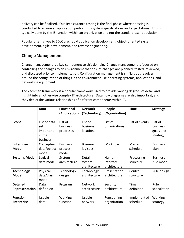delivery can be finalized. Quality assurance testing is the final phase wherein testing is conducted to ensure an application performs to system specifications and expectations. This is typically done by the IS function within an organization and not the standard user population.

Popular alternatives to SDLC are: rapid application development, object-oriented system development, agile development, and reverse engineering.

#### <span id="page-11-0"></span>**Change Management**

Change management is a key component to this domain. Change management is focused on controlling the changes to an environment that ensure changes are planned, tested, reviewed, and discussed prior to implementation. Configuration management is similar, but revolves around the configuration of things in the environment like operating systems, applications, and networking equipment.

The Zachman framework is a popular framework used to provide varying degrees of detail and insight into an otherwise complex IT architecture. Data flow diagrams are also important, and they depict the various relationships of different components within IT.

|                                      | <b>Data</b>                                             | <b>Functional</b>                   | <b>Network</b>                   | People                             | <b>Time</b>             | <b>Strategy</b>                              |
|--------------------------------------|---------------------------------------------------------|-------------------------------------|----------------------------------|------------------------------------|-------------------------|----------------------------------------------|
|                                      |                                                         | (Application)                       | (Technology)                     | (Organization)                     |                         |                                              |
| <b>Scope</b>                         | List of data<br>sets<br>important<br>in the<br>business | List of<br>business<br>processes    | List of<br>business<br>locations | List of<br>organizations           | List of events          | List of<br>business<br>goals and<br>strategy |
| <b>Enterprise</b><br><b>Model</b>    | Conceptual<br>data/object<br>model                      | <b>Business</b><br>process<br>model | <b>Business</b><br>logistics     | Workflow                           | Master<br>schedule      | <b>Business</b><br>plan                      |
| <b>Systems Model</b>                 | Logical<br>data model                                   | System<br>architecture              | Detail<br>system<br>architecture | Human<br>interface<br>architecture | Processing<br>structure | <b>Business</b><br>rule model                |
| <b>Technology</b><br><b>Model</b>    | Physical<br>data/class<br>model                         | Technology<br>design                | Technology<br>architecture       | Presentation<br>architecture       | Control<br>structure    | Rule design                                  |
| <b>Detailed</b><br>Representation    | Data<br>definition                                      | Program                             | Network<br>architecture          | Security<br>architecture           | Time<br>definition      | Rule<br>speculation                          |
| <b>Function</b><br><b>Enterprise</b> | Usable<br>data                                          | Working<br>function                 | Usable<br>network                | Functioning<br>organization        | Implemented<br>schedule | Working<br>strategy                          |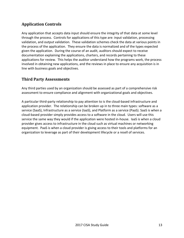## <span id="page-12-0"></span>**Application Controls**

Any application that accepts data input should ensure the integrity of that data at some level through the process. Controls for applications of this type are: input validation, processing validation, and output validation. These validation schemes check the data at various points in the process of the application. They ensure the data is normalized and of the types expected given the application. During the course of an audit, auditors should expect to receive documentation explaining the applications, charters, and records pertaining to these applications for review. This helps the auditor understand how the programs work, the process involved in obtaining new applications, and the reviews in place to ensure any acquisition is in line with business goals and objectives.

#### <span id="page-12-1"></span>**Third Party Assessments**

Any third parties used by an organization should be assessed as part of a comprehensive risk assessment to ensure compliance and alignment with organizational goals and objectives.

A particular third-party relationship to pay attention to is the cloud-based infrastructure and application provider. The relationship can be broken up in to three main types: software as a service (SaaS), Infrastructure as a service (IaaS), and Platform as a service (PaaS). SaaS is when a cloud-based provider simply provides access to a software in the cloud. Users will use this service the same way they would if the application were hosted in-house. IaaS is when a cloud provider gives access to infrastructure in the cloud such as virtual machines or networking equipment. PaaS is when a cloud provider is giving access to their tools and platforms for an organization to leverage as part of their development lifecycle or a resell of services.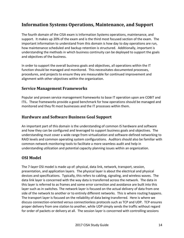# <span id="page-13-0"></span>**Information Systems Operations, Maintenance, and Support**

The fourth domain of the CISA exam is Information Systems operations, maintenance, and support. It makes up 20% of the exam and is the third most focused section of the exam. The important information to understand from this domain is how day to day operations are run, how maintenance scheduled and backup retention is structured. Additionally, important is understanding the methods in which business continuity can be deployed to support the goals and objectives of the business.

In order to support the overall business goals and objectives, all operations within the IT function should be managed and monitored. This necessitates documented processes, procedures, and projects to ensure they are measurable for continued improvement and alignment with other objectives within the organization.

#### <span id="page-13-1"></span>**Service Management Frameworks**

Popular and proven service management frameworks to base IT operation upon are COBIT and ITIL. These frameworks provide a good benchmark for how operations should be managed and monitored and they fit most businesses and the IT processes within them.

#### <span id="page-13-2"></span>**Hardware and Software Business Goal Support**

An important part of this domain is the understanding of common IS hardware and software and how they can be configured and leveraged to support business goals and objectives. The understanding must cover a wide range from virtualization and software-defined networking to RAID levels and common operating system configurations. Auditors should also be familiar with common network monitoring tools to facilitate a more seamless audit and help in understanding utilization and potential capacity planning issues within an organization.

#### <span id="page-13-3"></span>**OSI Model**

The 7-layer OSI model is made up of: physical, data link, network, transport, session, presentation, and application layers. The physical layer is about the electrical and physical devices and specifications. Typically, this refers to cabling, signaling, and wireless waves. The data link layer is concerned with the way data is transferred across the network. The data in this layer is referred to as frames and some error correction and avoidance are built into this layer such as in switches. The network layer is focused on the actual delivery of data from one side of the network to another or to entirely different networks. This is where routing happens. The transport layer is focused on the reliability of data being transferred. Here is where we discuss connection-oriented versus connectionless protocols such as TCP and UDP. TCP ensures proper delivery from one station to another, while UDP simply sends the traffic without regard for order of packets or delivery at all. The session layer is concerned with controlling sessions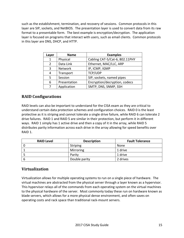such as the establishment, termination, and recovery of sessions. Common protocols in this layer are SIP, sockets, and NetBIOS. The presentation layer is used to convert data from its raw format to a presentable form. The best example is encryption/decryption. The application layer is focused on programs that interact with users, such as email clients. Common protocols in this layer are DNS, DHCP, and HTTP.

| Layer          | <b>Name</b>  | <b>Examples</b>                |
|----------------|--------------|--------------------------------|
| $\mathbf{1}$   | Physical     | Cabling CAT-5/Cat-6, 802.11PHY |
| $\overline{2}$ | Data Link    | Ethernet, MAC/LLC, ARP         |
| 3              | Network      | IP, ICMP, IGMP                 |
| 4              | Transport    | TCP/UDP                        |
| .5             | Session      | SIP, sockets, named pipes      |
| 6              | Presentation | Encryption/decryption, codecs  |
|                | Application  | SMTP, DNS, SNMP, SSH           |

#### <span id="page-14-0"></span>**RAID Configurations**

RAID levels can also be important to understand for the CISA exam as they are critical to understand certain data protection schemes and configuration choices. RAID 0 is the least protective as it is striping and cannot tolerate a single drive failure, while RAID 6 can tolerate 2 drive failures. RAID 1 and RAID 5 are similar in their protection, but perform it in different ways. RAID 1 simply has 1 active drive and then a copy of it in the array, while RAID 5 distributes parity information across each drive in the array allowing for speed benefits over RAID 1.

| <b>RAID Level</b> | <b>Description</b> | <b>Fault Tolerance</b> |
|-------------------|--------------------|------------------------|
|                   | <b>Striping</b>    | None                   |
|                   | Mirroring          | 1 drive                |
|                   | Parity             | 1 drive                |
|                   | Double parity      | 2 drives               |

#### <span id="page-14-1"></span>**Virtualization**

Virtualization allows for multiple operating systems to run on a single piece of hardware. The virtual machines are abstracted from the physical server through a layer known as a hypervisor. This hypervisor relays all of the commands from each operating system on the virtual machines to the physical hardware of the server. Most commonly today these run on hardware known as blade servers, which allows for a more physical dense environment, and often saves on operating costs and rack space than traditional rack-mount servers.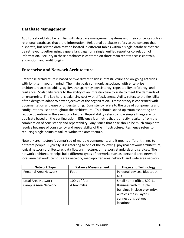#### <span id="page-15-0"></span>**Database Management**

Auditors should also be familiar with database management systems and their concepts such as relational databases that store information. Relational databases refers to the concept that disparate, but related data may be located in different tables within a single database that can be retrieved together using a query language for a single, unified report or correlation of information. Security in these databases is centered on three main tenets: access controls, encryption, and audit logging.

#### <span id="page-15-1"></span>**Enterprise and Network Architecture**

Enterprise architecture is based on two different sides: infrastructure and on-going activities with long-term goals in mind. The main goals commonly associated with enterprise architecture are: scalability, agility, transparency, consistency, repeatability, efficiency, and resilience. Scalability refers to the ability of an infrastructure to scale to meet the demands of an enterprise. The key here is balancing cost with effectiveness. Agility refers to the flexibility of the design to adapt to new objectives of the organization. Transparency is concerned with documentation and ease of understanding. Consistency refers to the type of components and configurations used throughout the architecture. This should speed up troubleshooting and reduce downtime in the event of a failure. Repeatability refers to how simple things are to duplicate based on the configuration. Efficiency is a metric that is directly resultant from the combination of consistency and repeatability. Any issues that arise should be much simpler to resolve because of consistency and repeatability of the infrastructure. Resilience refers to reducing single points of failure within the architecture.

Network architecture is comprised of multiple components and it means different things to different people. Typically, it is referring to one of the following: physical network architecture, logical network architecture, data flow architecture, or network standards and services. The network architecture helps build different types of networks such as: personal area network, local area network, campus area network, metropolitan area network, and wide area network.

| <b>Network Type</b>   | <b>Distance Measurement</b> | <b>Usage and Technology</b>   |
|-----------------------|-----------------------------|-------------------------------|
| Personal Area Network | Feet                        | Personal devices, Bluetooth,  |
|                       |                             | <b>NFC</b>                    |
| Local Area Network    | 100's of feet               | Small home office, 802.11     |
| Campus Area Network   | A few miles                 | Business with multiple        |
|                       |                             | buildings in close proximity, |
|                       |                             | wireless mesh, layer 2        |
|                       |                             | connections between           |
|                       |                             | locations                     |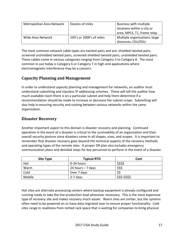| Metropolitan Area Network | Dozens of miles          | Business with multiple        |
|---------------------------|--------------------------|-------------------------------|
|                           |                          | locations within a city or    |
|                           |                          | area, MPLS, T1, frame relay   |
| Wide Area Network         | 100's or 1000's of miles | Multiple organizations, large |
|                           |                          | distances, CSU/DSU            |

The most common network cable types are twisted pairs and are: shielded twisted pairs, screened unshielded twisted pairs, screened shielded twisted pairs, unshielded twisted pairs. These cables come in various categories ranging from Category 3 to Category 8. The most common in use today is Category 6 or Category 7 in high-end applications where electromagnetic interference may be a concern.

## <span id="page-16-0"></span>**Capacity Planning and Management**

In order to understand capacity planning and management for networks, an auditor must understand subnetting and classless IP addressing schemes. These will tell the auditor how much available room there is on a particular subnet and help them determine if a recommendation should be made to increase or decrease the subnet scope. Subnetting will also help in ensuring security and routing between various networks within the same organization.

#### <span id="page-16-1"></span>**Disaster Recovery**

Another important aspect to this domain is disaster recovery and planning. Continued operation in the event of a disaster is critical to the survivability of an organization and their overall security posture since disasters come in all shapes, sizes, and scopes. It is important to remember that disaster recovery goes beyond the technical aspects of the recovery methods and operating types of the remote sites. A proper DR plan also includes emergency communication plans and detailed steps for key personnel to perform in the event of a disaster.

| Site Type | <b>Typical RTO</b> | Cost            |
|-----------|--------------------|-----------------|
| Hot       | 0-24 hours         | \$\$\$\$        |
| Warm      | 24 hours $-7$ days | \$\$\$          |
| Cold      | Over 7 days        |                 |
| Mobile    | 2-7 days           | \$\$\$-\$\$\$\$ |

Hot sites are alternate processing centers where backup equipment is already configured and running ready to take the live production load whenever necessary. This is the most expensive type of recovery site and makes recovery much easier. Warm sites are similar, but the systems often need to be powered on or have data migrated over to ensure proper functionality. Cold sites range in readiness from rented rack space that is waiting for companies to bring physical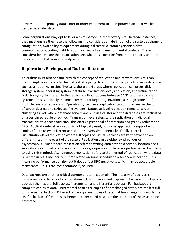devices from the primary datacenter or order equipment to a temporary place that will be decided at a later date.

Some organizations may opt to lever a third-party disaster recovery site. In those instances, they must ensure they take the following into consideration: definition of a disaster, equipment configuration, availability of equipment during a disaster, customer priorities, data communications, testing, right to audit, and security and environmental controls. These considerations ensure the organization gets what it is expecting from the third-party and that they are protected from all standpoints.

## <span id="page-17-0"></span>**Replication, Backups, and Backup Rotation**

An auditor must also be familiar with the concept of replication and at what levels this can occur. Replication refers to the method of copying data from a primary site to a secondary site such as a hot or warm site. Typically, there are 6 areas where replication can occur: disk storage system, operating system, database, transaction-level, application, and virtualization. Disk storage system refers to the replication that happens between SANS or other storage systems. This is probably the most common for larger organizations, although some opt for multiple levels of replication. Operating system level replication can occur as well in the form of server clusters or distributed file systems. Database-level replication refers to server clustering as well where database servers are built in a cluster and the databases are replicated on a certain schedule or ad-hoc. Transaction-level refers to the replication of individual transactions to a secondary site. This offers a great deal of protection and greatly reduces the RPO. Application-level replication is not typically used, but some applications support writing copies of data to two different application servers simultaneously. Finally, there is virtualization-level replication where full copies of virtual machines are kept between two different sites in the event of a disaster. Replication can be either synchronous or asynchronous. Synchronous replication refers to writing data both to a primary location and a secondary location at one time as part of a single operation. There are performance drawbacks to using this method. Asynchronous replication refers to the method of replication where data is written in real time locally, but replicated on some schedule to a secondary location. This incurs no performance penalty, but it does affect RPO negatively, which may be acceptable in many cases. This is the most common type used.

Data backups are another critical component to this domain. The integrity of backups is paramount as is the security of the storage, transmission, and disposal of backups. The types of backup schemes are: full backup, incremental, and differential backups. Full backups are complete copies of data. Incremental copies are copies of only changed data since the last full or incremental backup. Differential backups are copies of data that has changed since only the last full backup. Often these schemes are combined based on the criticality of the asset being protected.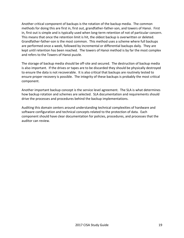Another critical component of backups is the rotation of the backup media. The common methods for doing this are first in, first out, grandfather-father-son, and towers of Hanoi. First in, first out is simple and is typically used when long-term retention of not of particular concern. This means that once the retention limit is hit, the oldest backup is overwritten or deleted. Grandfather-father-son is the most common. This method uses a scheme where full backups are performed once a week, followed by incremental or differential backups daily. They are kept until retention has been reached. The towers of Hanoi method is by far the most complex and refers to the Towers of Hanoi puzzle.

The storage of backup media should be off-site and secured. The destruction of backup media is also important. If the drives or tapes are to be discarded they should be physically destroyed to ensure the data is not recoverable. It is also critical that backups are routinely tested to ensure proper recovery is possible. The integrity of these backups is probably the most critical component.

Another important backup concept is the service level agreement. The SLA is what determines how backup rotation and schemes are selected. SLA documentation and requirements should drive the processes and procedures behind the backup implementations.

Auditing this domain centers around understanding technical complexities of hardware and software configuration and technical concepts related to the protection of data. Each component should have clear documentation for policies, procedures, and processes that the auditor can review.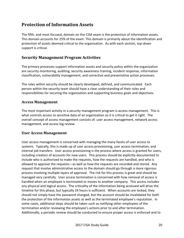# <span id="page-19-0"></span>**Protection of Information Assets**

The fifth, and most focused, domain on the CISA exam is the protection of information assets. This domain accounts for 25% of the exam. This domain is primarily about the identification and protection of assets deemed critical to the organization. As with each section, top-down support is critical.

#### <span id="page-19-1"></span>**Security Management Program Activities**

The primary processes support information assets and security policy within the organization are security monitoring, auditing, security awareness training, incident response, information classification, vulnerability management, and corrective and preventative action processes.

The roles within security should be clearly developed, defined, and communicated. Each person within the security team should have a clear understanding of their roles and responsibilities for securing the organization and supporting business goals and objectives.

#### **Access Management**

The most important activity in a security management program is access management. This is what controls access to sensitive data of an organization so it is critical to get it right. The overall concept of access management consists of: user access management, network access management, and access log review.

#### **User Access Management**

User access management is concerned with managing the many facets of user access to systems. Typically, this is made up of user access provisioning, user access termination, and internal job transfers. User access provisioning is the process where access is granted for users, including creation of accounts for new users. This process should be explicitly documented to include who is authorized to make the requests, how the requests are handled, and who is allowed to approve the requests—as well as how the requests are recorded and stored. Any request that involve administrative access to the domain should go through a more rigorous process involving multiple layers of approval. The risk for this process is great and should be managed very carefully. User access termination is concerned with how removal of access is handled when an employee is terminated or moves to another company. This access includes any physical and logical access. The criticality of the information being accessed will drive the timeline for this phase, but typically 24 hours is sufficient. When accounts are locked, they should not simply have the password changed, but the account should be invalidated for both the protection of the information assets as well as the terminated employee's reputation. In some cases, additional steps should be taken such as notifying other employees of the termination and/or reviewing the employee's actions prior to and after termination. Additionally, a periodic review should be conducted to ensure proper access is enforced and to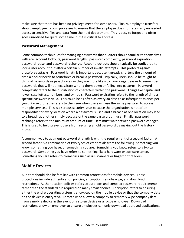make sure that there has been no privilege creep for some users. Finally, employee transfers should employee its own processes to ensure that the employee does not retain any unneeded access to sensitive files and data from their old department. This is easy to forget and often goes unnoticed for quite some time, but it is critical to address.

#### **Password Management**

Some common techniques for managing passwords that auditors should familiarize themselves with are: account lockouts, password lengths, password complexity, password expiration, password reuse, and password rechange. Account lockouts should typically be configured to lock a user account out after a certain number of invalid attempts. This protects against bruteforce attacks. Password length is important because it greatly shortens the amount of time a hacker needs to bruteforce or break a password. Typically, users should be taught to think of passwords as passphrases so they are more likely to have longer, easier to remember passwords that will not necessitate writing them down or falling into patterns. Password complexity refers to the distribution of characters within the password. Things like capital and lower-case letters, numbers, and symbols. Password expiration refers to the length of time a specific password is valid. This could be as often as every 30 days to as infrequent as once per year. Password reuse refers to the issue when users will use the same password to access multiple services. This is a serious security issue because the organization is not often responsible for every location where a password is used and a breach at one location may lead to a breach at another simply because of the same passwords in use. Finally, password rechange refers to the minimum amount of time users must wait between password changes. This is used to help prevent users from re-using an old password by maxing out the history quota.

A common way to augment password strength is with the requirement of a second factor. A second factor is a combination of two types of credentials from the following: something you know, something you have, or something you are. Something you know refers to a typical password. Something you have refers to something like a hardware or software token. Something you are refers to biometrics such as iris scanners or fingerprint readers.

#### <span id="page-20-0"></span>**Mobile Devices**

Auditors should also be familiar with common protections for mobile devices. These protections include authentication policies, encryption, remote wipe, and download restrictions. Authentication policies refers to auto-lock and complex password requirements rather than the standard pin required on many smartphones. Encryption refers to ensuring either the entire operating system is encrypted on the mobile device or that the company data on the device is encrypted. Remote wipe allows a company to remotely wipe company data from a mobile device in the event of a stolen device or a rogue employee. Download restrictions allow an employer to ensure employees can only download approved applications.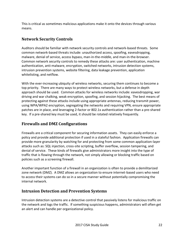This is critical as sometimes malicious applications make it onto the devices through various means.

## <span id="page-21-0"></span>**Network Security Controls**

Auditors should be familiar with network security controls and network-based threats. Some common network-based threats include: unauthorized access, spoofing, eavesdropping, malware, denial of service, access bypass, man-in-the-middle, and man-in-the-browser. Common network security controls to remedy these attacks are: user authentication, machine authentication, anti-malware, encryption, switched networks, intrusion detection systems, intrusion prevention systems, website filtering, data leakage prevention, application whitelisting, and netflow.

With the ever-increasing ubiquity of wireless networks, securing them continues to become a top priority. There are many ways to protect wireless networks, but a defense in depth approach should be used. Common attacks for wireless networks include: eavesdropping, war driving and war chalking, weak encryption, spoofing, and session hijacking. The best means of protecting against these attacks include using appropriate antennas, reducing transmit power, using WPA/WPA2 encryption, segregating the networks and requiring VPN, ensure appropriate patches are in place, and leveraging 2-factor or 802.1x authentication rather than a pre-shared key. If a pre-shared key must be used, it should be rotated relatively frequently.

#### <span id="page-21-1"></span>**Firewalls and DMZ Configurations**

Firewalls are a critical component for securing information assets. They can easily enforce a policy and provide additional protection if used in a stateful fashion. Application firewalls can provide more granularity by watching for and protecting from some common application-layer attacks such as: SQL injection, cross-site scripting, buffer overflow, session tampering, and denial of service. These kinds of firewalls give administrators more insight into the type of traffic that is flowing through the network, not simply allowing or blocking traffic based on policies such as a screening firewall.

Another important function of a firewall in an organization is often to provide a demilitarized zone network (DMZ). A DMZ allows an organization to ensure internet-based users who need to access their systems can do so in a secure manner without potentially compromising the internal network.

#### <span id="page-21-2"></span>**Intrusion Detection and Prevention Systems**

Intrusion detection systems are a detective control that passively listens for malicious traffic on the network and logs the traffic. If something suspicious happens, administrators will often get an alert and can handle per organizational policy.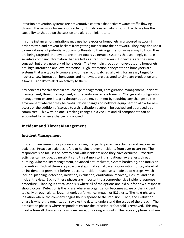Intrusion prevention systems are preventative controls that actively watch traffic flowing through the network for malicious activity. If malicious activity is found, the device has the capability to shut down the session and alert administrators.

In some instances, organizations may use honeypots or honeynets in a secured network in order to trap and prevent hackers from getting further into their network. They may also use it to keep abreast of potentially upcoming threats to their organization or as a way to know they are being targeted. Honeypots are intentionally vulnerable systems that seemingly contain sensitive company information that are left as a trap for hackers. Honeynets are the same concept, but are a network of honeypots. The two main groups of honeypots and honeynets are: high interaction and low interaction. High interaction honeypots and honeynets are systems that are typically completely, or heavily, unpatched allowing for an easy target for hackers. Low interaction honeypots and honeynets are designed to simulate production and allow IDS and IPS to alert on activity to them.

Key concepts for this domain are: change management, configuration management, incident management, threat management, and security awareness training. Change and configuration management ensure integrity throughout the environment by requiring any changes to the environment whether they be configuration changes on network equipment to allow for new access or the addition of storage to a virtualization platform be tracked and approved by a committee. This way, no one is making changes in a vacuum and all components can be accounted for when a change is proposed.

#### <span id="page-22-0"></span>**Incident and Threat Management**

#### **Incident Management**

Incident management is a process containing two parts: proactive activities and responsive activities. Proactive activities refers to helping prevent incidents from ever occurring. The responsive side focuses on how to deal with incidents once they have occurred. Proactive activities can include: vulnerability and threat monitoring, situational awareness, threat hunting, vulnerability management, advanced anti-malware, system hardening, and intrusion prevention. Each of these are proactive steps that can allow an organization to stay ahead of an incident and prevent it before it occurs. Incident response is made up of 9 steps, which include: planning, detection, initiation, evaluation, eradication, recovery, closure, and postincident review. Each of these phases are important to a comprehensive incident response procedure. Planning is critical as this is where all of the options are laid out for how a response should occur. Detection is the phase where an organization becomes aware of the incident, typically through alerts, logs, network performance impact, or IDS alerts. The next phase is initiation where the company begins their response to the intrusion. Then, the evaluation phase is where the organization reviews the data to understand the scope of the breach. The eradication phase is where responders ensure the infection or foothold is removed. This may involve firewall changes, removing malware, or locking accounts. The recovery phase is where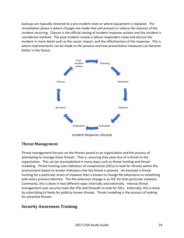backups are typically restored to a pre-incident state or where equipment is replaced. The remediation phase is where changes are made that will prevent or reduce the chances of the incident recurring. Closure is the official closing of incident response actions and the incident is considered resolved. The post-incident review is where responders meet and discuss the incident in more detail such as the cause, impact, and the effectiveness of the response. This is where improvements can be made to the process and how preventative measures can become better in the future.



#### **Threat Management**

Threat management focuses on the threats posed to an organization and the process of attempting to manage these threats. That is, ensuring they pose less of a threat to the organization. This can be accomplished in many ways such as threat hunting and threat modeling. Threat hunting uses indicators of compromise (IOCs) to look for threats within the environment based on known indicators that the threat is present. An example is threat hunting for a particular strain of malware that is known to change file extensions to something with every present infection. The file extension change is an IOC for that particular malware. Commonly, this is done in two different ways internally and externally. Internal threat management uses security tools like IPSs and firewalls to look for IOCs. Externally, this is done by subscribing to feeds for publicly known threats. Threat modeling is the process of looking for potential threats.

#### <span id="page-23-0"></span>**Security Awareness Training**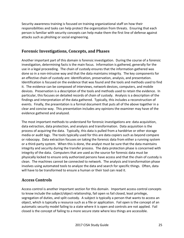Security awareness training is focused on training organizational staff on how their responsibilities and tasks can help protect the organization from threats. Ensuring that each person is familiar with security concepts can help make them the first line of defense against attacks such as phishing or social engineering.

#### <span id="page-24-0"></span>**Forensic Investigations, Concepts, and Phases**

Another important part of this domain is forensic investigation. During the course of a forensic investigation, determining facts is the main focus. Information is gathered, generally for the use in a legal proceeding. The chain of custody ensures that the information gathered was done so in a non-intrusive way and that the data maintains integrity. The key components for an effective chain of custody are: identification, preservation, analysis, and presentation. Identification is focused on the evidence that was found and the tools and methods used to find it. The evidence can be composed of interviews, network devices, computers, and mobile devices. Preservation is a description of the tools and methods used to retain the evidence. In particular, this focuses on detailed records of chain of custody. Analysis is a description of the findings and interpretation of the data gathered. Typically, this includes a reconstruction of events. Finally, the presentation is a formal document that puts all of the above together in a clear and concise way. This presentation includes any opinions the examiner may have of the evidence gathered and analyzed.

The most important methods to understand for forensic investigations are: data acquisition, data extraction, data protection, and analysis and transformation. Data acquisition is the process of acquiring the data. Typically, this data is pulled from a harddrive or other storage media or audit logs. The tools typically used for this are data copiers such as beyond compare or robocopy. Data extraction focuses on taking the forensic data from either a running system or a third-party system. When this is done, the analyst must be sure that the data maintains integrity and security during the transfer process. The data protection phase is concerned with integrity of the data. Computers that are used as the source for forensic data must be physically locked to ensure only authorized persons have access and that the chain of custody is clean. The machines cannot be connected to network. The analysis and transformation phase involves using automated tools to analyze the data and search for specific things. Often, data will have to be transformed to ensure a human or their tool can read it.

#### <span id="page-24-1"></span>**Access Controls**

Access control is another important section for this domain. Important access control concepts to know include the subject/object relationship, fail open vs fail closed, least privilege, segregation of duties, and split custody. A subject is typically a person that wants to access an object, which is typically a resource such as a file or application. Fail open is the concept of an automatic security model failing to a state where it is open and controls are not applied. Fail closed is the concept of failing to a more secure state where less things are accessible.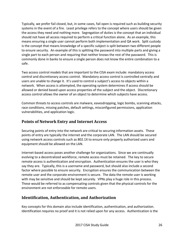Typically, we prefer fail closed, but, in some cases, fail open is required such as building security systems in the event of a fire. Least privilege refers to the concept where users should be given the access they need and nothing more. Segregation of duties is the concept that an individual should not have all access required to perform a critical function alone. As an example, this means ensuring a single user cannot perform both implementation and QA work. Split custody is the concept that means knowledge of a specific subject is split between two different people to ensure security. An example of this is splitting the password into multiple parts and giving a single part to each person and requiring that neither knows the rest of the password. This is commonly done in banks to ensure a single person does not know the entire combination to a safe.

Two access control models that are important to the CISA exam include: mandatory access control and discretionary access control. Mandatory access control is controlled centrally and users are unable to change it. It's used to control a subject's access to objects within a network. When access is attempted, the operating system determines if access should be allowed or denied based upon access properties of the subject and the object. Discretionary access control allows the owner of an object to determine which subjects have access.

Common threats to access controls are malware, eavesdropping, logic bombs, scanning attacks, race conditions, missing patches, default settings, misconfigured permissions, application vulnerabilities, and application logic.

## <span id="page-25-0"></span>**Points of Network Entry and Internet Access**

Securing points of entry into the network are critical to securing information assets. These points of entry are typically the internet and the corporate LAN. The LAN should be secured using network access controls such as 802.1X to ensure only properly authorized users and equipment should be allowed on the LAN.

Internet-based access poses another challenge for organizations. Since we are continually evolving to a decentralized workforce, remote access must be retained. The key to secure remote access is authentication and encryption. Authentication ensures the user is who they say they are. Typically, this is a username and password, but should also include a second factor where possible to ensure security. Encryption ensures the communication between the remote user and the corporate environment is secure. The data the remote user is working with may be sensitive and should be kept securely. VPNs play a huge role in this process. These would be referred to as compensating controls given that the physical controls for the environment are not enforceable for remote users.

## <span id="page-25-1"></span>**Identification, Authentication, and Authorization**

Key concepts for this domain also include identification, authentication, and authorization. Identification requires no proof and it is not relied upon for any access. Authentication is the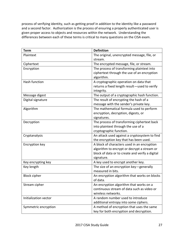process of verifying identity, such as getting proof in addition to the identity like a password and a second factor. Authorization is the process of ensuring a properly authenticated user is given proper access to objects and resources within the network. Understanding the differences between each of these terms is critical to many questions on the CISA exam.

| <b>Term</b>           | <b>Definition</b>                                                                                                                                           |
|-----------------------|-------------------------------------------------------------------------------------------------------------------------------------------------------------|
| Plaintext             | The original, unencrypted message, file, or<br>stream.                                                                                                      |
| Ciphertext            | The encrypted message, file, or stream.                                                                                                                     |
| Encryption            | The process of transforming plaintext into<br>ciphertext through the use of an encryption<br>algorithm.                                                     |
| <b>Hash function</b>  | A cryptographic operation on data that<br>returns a fixed length result-used to verify<br>integrity.                                                        |
| Message digest        | The output of a cryptographic hash function.                                                                                                                |
| Digital signature     | The result of encrypting the hash of a<br>message with the sender's private key.                                                                            |
| Algorithm             | The mathematical formula used to perform<br>encryption, decryption, digests, or<br>signatures.                                                              |
| Decryption            | The process of transforming ciphertext back<br>into plaintext through the use of a<br>cryptographic function.                                               |
| Cryptanalysis         | An attack used against a cryptosystem to find<br>the encryption key that has been used.                                                                     |
| Encryption key        | A block of characters used in an encryption<br>algorithm to encrypt or decrypt a stream or<br>block of data or to create and verify a digital<br>signature. |
| Key encrypting key    | A key used to encrypt another key.                                                                                                                          |
| Key length            | The size of an encryption key-generally<br>measured in bits.                                                                                                |
| <b>Block cipher</b>   | An encryption algorithm that works on blocks<br>of data.                                                                                                    |
| Stream cipher         | An encryption algorithm that works on a<br>continuous stream of data such as video or<br>wireless networks.                                                 |
| Initialization vector | A random number used to introduce<br>additional entropy into some ciphers.                                                                                  |
| Symmetric encryption  | A method of encryption that uses the same<br>key for both encryption and decryption.                                                                        |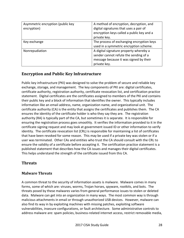| Asymmetric encryption (public key<br>encryption) | A method of encryption, decryption, and<br>digital signatures that uses a pair of<br>encryption keys called a public key and a<br>private key. |
|--------------------------------------------------|------------------------------------------------------------------------------------------------------------------------------------------------|
| Key exchange                                     | The process of exchanging encryption keys<br>used in a symmetric encryption scheme.                                                            |
| Nonrepudiation                                   | A digital signature property whereby a<br>sender cannot refute the sending of a<br>message because it was signed by their<br>private key.      |

## <span id="page-27-0"></span>**Encryption and Public Key Infrastructure**

Public key infrastructure (PKI) was designed to solve the problem of secure and reliable key exchange, storage, and management. The key components of PKI are: digital certificates, certificate authority, registration authority, certificate revocation list, and certification practice statement. Digital certificates are the certificates assigned to members of the PKI and contains their public key and a block of information that identifies the owner. This typically includes information like an email address, name, organization name, and organizational unit. The certificate authority (CA) is the entity that assigns the certificates and publishes them. The CA ensures the identity of the certificate holder is who they say they are. The registration authority (RA) is typically part of the CA, but sometimes it is separate. It is responsible for ensuring the registration process goes smoothly. It verifies the information provided to it in the certificate signing request and may look at government issued ID or other information to verify identity. The certificate revocation list (CRL) is responsible for maintaining a list of certificates that have been revoked for some reason. This may be used if a private key was stolen or if a user was terminated. Other CAs and entities who trust the CA should consult with the CRL to ensure the validity of a certificate before accepting it. The certification practice statement is a published statement that describes how the CA issues and manages their digital certificates. This helps understand the strength of the certificate issued from this CA.

## <span id="page-27-1"></span>**Threats**

#### **Malware Threats**

A common threat to the security of information assets is malware. Malware comes in many forms, some of which are: viruses, worms, Trojan horses, spyware, rootkits, and bots. The threats posed by these malwares varies from general performance issues to stolen or deleted data. Malware can get into an organization in many ways. The most common way is through malicious attachments in email or through unauthorized USB devices. However, malware can also find its way in by exploiting machines with missing patches, exploiting software vulnerabilities, insecure configurations, or fault architecture. Some administrative controls to address malware are: spam policies, business-related internet access, restrict removable media,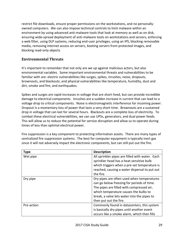restrict file downloads, ensure proper permissions on the workstations, and no personallyowned computers. We can also impose technical controls to limit malware within an environment by using advanced anti-malware tools that look at memory as well as on disk, ensuring wide-spread deployment of anti-malware tools on workstations and servers, enforcing a web filter, using DLP systems, reducing end-user privileges, using an IPS, blocking removable media, removing internet access on servers, booting servers from protected images, and blocking read-only objects.

#### **Environmental Threats**

It's important to remember that not only are we up against malicious actors, but also environmental variables. Some important environmental threats and vulnerabilities to be familiar with are: electric vulnerabilities like surges, spikes, inrushes, noise, dropouts, brownouts, and blackouts; and physical vulnerabilities like temperature, humidity, dust and dirt, smoke and fire, and earthquakes.

Spikes and surges are rapid increases in voltage that are short-lived, but can provide incredible damage to electrical components. Inrushes are a sudden increase in current that can lead to a voltage drop to critical components. Noise is electromagnetic interference for incoming power. Dropout is a momentary loss of power that lasts a very short time. Brownouts are a sustained drop in voltage that can last for several hours. Blackouts are a complete loss of electricity. To combat these electrical vulnerabilities, we can use UPSs, generators, and dual power feeds. This will allow us to reduce the potential for service disruption and allow us to operate during times of less than optimal electrical power.

Fire suppression is a key component to protecting information assets. There are many types of centralized fire suppression systems. The best for computer equipment is typically inert gas since it will not adversely impact the electronic components, but can still put out the fire.

| <b>Type</b> | <b>Description</b>                              |
|-------------|-------------------------------------------------|
| Wet pipe    | All sprinkler pipes are filled with water. Each |
|             | sprinkler head has a heat-sensitive bulb        |
|             | which triggers when a pre-set temperature is    |
|             | reached, causing a water dispersal to put out   |
|             | the fire.                                       |
| Dry pipe    | Dry pipes are often used when temperatures      |
|             | can go below freezing for periods of time.      |
|             | The pipes are filled with compressed air,       |
|             | which temperature causes the bulbs to           |
|             | break, a valve lets water into the pipes to     |
|             | then put out the fire.                          |
| Pre-action  | Commonly found in datacenters, this system      |
|             | is basically dry pipes until another event      |
|             | occurs like a smoke alarm, which then fills     |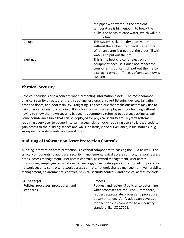|           | the pipes with water. If the ambient<br>temperature is high enough to break the<br>bulbs, the heads release water, which will put<br>out the fire.                                             |
|-----------|------------------------------------------------------------------------------------------------------------------------------------------------------------------------------------------------|
| Deluge    | This system is like the dry pipe system<br>without the ambient temperature sensors.<br>When an alarm is triggered, the pipes fill with<br>water and put out the fire.                          |
| Inert gas | This is the best choice for electronic<br>equipment because it does not impact the<br>components, but can still put out the fire by<br>displacing oxygen. The gas often used now is<br>FM-200. |

## <span id="page-29-0"></span>**Physical Security**

Physical security is also a concern when protecting information assets. The most common physical security threats are: theft, sabotage, espionage, covert listening devices, tailgating, propped doors, and poor visibility. Tailgating is a technique that malicious actors may use to gain physical access to a building. It involves following an employee into a building without having to show their own security badge. It's commonly referred to as piggybacking as well. Some countermeasures that can be deployed for physical security are: keycard systems requiring every user to badge-in to gain access, cipher locks requiring users to know a code to gain access to the building, fences and walls, bollards, video surveillance, visual notices, bug sweeping, security guards, and guard dogs.

## <span id="page-29-1"></span>**Auditing of Information Asset Protection Controls**

Auditing information asset protection is a critical component to passing the CISA as well. The critical components to audit are: security management, logical access controls, network access paths, access management, user access controls, password management, user access provisioning, employee terminations, access logs, investigative procedures, points of presence, network security controls, network access controls, network change management, vulnerability management, environmental controls, physical security controls, and physical access controls.

| <b>Audit target</b>                  | <b>Process</b>                              |
|--------------------------------------|---------------------------------------------|
| Policies, processes, procedures, and | Request and review IS policies to determine |
| standards                            | what processes are required. From there,    |
|                                      | request appropriate process and procedure   |
|                                      | documentation. Verify adequate coverage     |
|                                      | for each topic as compared to an industry   |
|                                      | standard like ISO 27001.                    |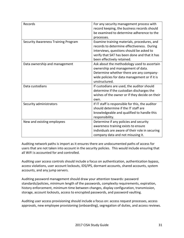| Records                                    | For any security management process with<br>record keeping, the business records should<br>be examined to determine adherence to the<br>processes.                                                                   |
|--------------------------------------------|----------------------------------------------------------------------------------------------------------------------------------------------------------------------------------------------------------------------|
| <b>Security Awareness Training Program</b> | Examine training materials, procedures, and<br>records to determine effectiveness. During<br>interviews, questions should be asked to<br>verify that SAT has been done and that it has<br>been effectively retained. |
| Data ownership and management              | Ask about the methodology used to ascertain<br>ownership and management of data.<br>Determine whether there are any company-<br>wide policies for data management or if it is<br>unstructured.                       |
| Data custodians                            | If custodians are used, the auditor should<br>determine if the custodian discharges the<br>wishes of the owner or if they decide on their<br>own.                                                                    |
| Security administrators                    | If IT staff is responsible for this, the auditor<br>should determine if the IT staff are<br>knowledgeable and qualified to handle this<br>responsibility.                                                            |
| New and existing employees                 | Determine if any policies and security<br>awareness training exists to ensure<br>individuals are aware of their role in securing<br>company data and not misusing it.                                                |

Auditing network paths is import as it ensures there are undocumented paths of access for users that are not taken into account in the security policies. This would include ensuring that all WiFi is accounted for and controlled.

Auditing user access controls should include a focus on authentication, authentication bypass, access violations, user account lockouts, IDS/IPS, dormant accounts, shared accounts, system accounts, and any jump servers.

Auditing password management should draw your attention towards: password standards/policies, minimum length of the passwords, complexity requirements, expiration, history enforcement, minimum time between changes, display configuration, transmission, storage, account lockouts, access to encrypted passwords, and password vaulting.

Auditing user access provisioning should include a focus on: access request processes, access approvals, new employee provisioning (onboarding), segregation of duties, and access reviews.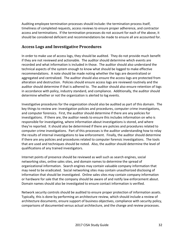Auditing employee termination processes should include: the termination process itself, timeliness of completed requests, access reviews to ensure proper adherence, and contractor access and terminations. If the termination processes do not account for each of the above, it should be considered deficient and recommendations be made to ensure all are accounted for.

#### <span id="page-31-0"></span>**Access Logs and Investigative Procedures**

In order to make use of access logs, they should be audited. They do not provide much benefit if they are not reviewed and actionable. The auditor should determine which events are recorded and what information is included in those. The auditor should also understand the technical aspects of the system enough to know what should be logged to make effective recommendations. A note should be made noting whether the logs are decentralized or aggregated and centralized. The auditor should also ensure the access logs are protected from alteration and destruction. Policies should ensure access logs are reviewed routinely and the auditor should determine if that is adhered to. The auditor should also ensure retention of logs in accordance with policy, industry standard, and compliance. Additionally, the auditor should determine whether or not the organization is alerted to log events.

Investigative procedures for the organization should also be audited as part of this domain. The key things to review are: investigation policies and procedures, computer crime investigations, and computer forensics. First, the auditor should determine if there are any policies for investigations. If there are, the auditor needs to ensure this includes information on who is responsible for investigating, where information about investigations is stored, and where they're reported. It should also be determined if there are policies and procedures related to computer crime investigations. Part of this processes is the auditor understanding how to relay the results of internal investigations to law enforcement. Finally, the auditor should determine if there are any policies and procedures related to computer forensic investigations. The tools that are used and techniques should be noted. Also, the auditor should determine the level of qualifications of any trained investigators.

Internet points of presence should be reviewed as well such as search engines, social networking sites, online sales sites, and domain names to determine the spread of organizational information. Search engines may contain valuable company information that may need to be eradicated. Social networking sites may contain unauthorized disclosing of information that should be investigated. Online sales sites may contain company information or hardware for sale that the company should be aware of and notify law enforcement about. Domain names should also be investigated to ensure contact information is verified.

Network security controls should be audited to ensure proper protection of information assets. Typically, this is done by performing an architecture review, which should include a review of architecture documents, ensure support of business objectives, compliance with security policy, comparisons of documented versus actual architecture, and the change and review processes.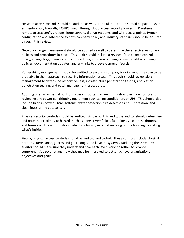Network access controls should be audited as well. Particular attention should be paid to user authentication, firewalls, IDS/IPS, web filtering, cloud access security broker, DLP systems, remote access configurations, jump servers, dial-up modems, and wi-fi access points. Proper configuration and adherence to both company policy and industry standards should be ensured through this review.

Network change management should be audited as well to determine the effectiveness of any policies and procedures in place. This audit should include a review of the change control policy, change logs, change control procedures, emergency changes, any rolled-back change policies, documentation updates, and any links to a development lifecycle.

Vulnerability management should be audited to ensure a company is doing what they can to be proactive in their approach to securing information assets. This audit should review alert management to determine responsiveness, infrastructure penetration testing, application penetration testing, and patch management procedures.

Auditing of environmental controls is very important as well. This should include noting and reviewing any power conditioning equipment such as line conditioners or UPS. This should also include backup power, HVAC systems, water detection, fire detection and suppression, and cleanliness of the datacenter.

Physical security controls should be audited. As part of this audit, the auditor should determine and note the proximity to hazards such as dams, rivers/lakes, fault lines, volcanoes, airports, and freeways. The auditor should also look for any external marking on the building indicating what's inside.

Finally, physical access controls should be audited and tested. These controls include physical barriers, surveillance, guards and guard dogs, and keycard systems. Auditing these systems, the auditor should make sure they understand how each layer works together to provide comprehensive security and how they may be improved to better achieve organizational objectives and goals.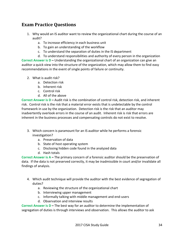# <span id="page-33-0"></span>**Exam Practice Questions**

- 1. Why would an IS auditor want to review the organizational chart during the course of an audit?
	- a. To increase efficiency in each business unit
	- b. To gain an understanding of the workflow
	- c. To understand the separation of duties in the IS department
	- d. To understand responsibilities and authority of every person in the organization

**Correct Answer is D – Understanding the organizational chart of an organization can give an** auditor a quick view into the structure of the organization, which may allow them to find easy recommendations in the event of single points of failure or continuity.

- 2. What is audit risk?
	- a. Detection risk
	- b. Inherent risk
	- c. Control risk
	- d. All of the above

**Correct Answer is D – Audit risk is the combination of control risk, detection risk, and inherent** risk. Control risk is the risk that a material error exists that is undetectable by the control framework in use by the organization. Detection risk is the risk that an auditor may inadvertently overlook errors in the course of an audit. Inherent risk is risk that errors are inherent in the business processes and compensating controls do not exist to resolve.

- 3. Which concern is paramount for an IS auditor while he performs a forensic investigation?
	- a. Preservation of data
	- b. State of host operating system
	- c. Disclosing hidden code found in the analyzed data
	- d. Hash totals

**Correct Answer is A –** The primary concern of a forensic auditor should be the preservation of data. If the data is not preserved correctly, it may be inadmissible in court and/or invalidate all findings of analysis.

- 4. Which audit technique will provide the auditor with the best evidence of segregation of duties?
	- a. Reviewing the structure of the organizational chart
	- b. Interviewing upper management
	- c. Informally talking with middle management and end-users
	- d. Observation and interview results

**Correct Answer is D – The best way for an auditor to determine the implementation of** segregation of duties is through interviews and observation. This allows the auditor to ask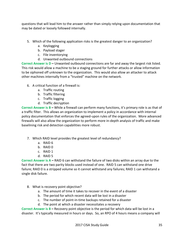questions that will lead him to the answer rather than simply relying upon documentation that may be dated or loosely followed internally.

- 5. Which of the following application risks is the greatest danger to an organization?
	- a. Keylogging
	- b. Payload stager
	- c. File inventorying
	- d. Unwanted outbound connections

**Correct Answer is D – Unwanted outbound connections are far and away the largest risk listed.** This risk would allow a machine to be a staging ground for further attacks or allow information to be siphoned off unknown to the organization. This would also allow an attacker to attack other machines internally from a "trusted" machine on the network.

- 6. A critical function of a firewall is:
	- a. Traffic routing
	- b. Traffic filtering
	- c. Traffic logging
	- d. Traffic decryption

**Correct Answer is B –** While a firewall can perform many functions, it's primary role is as that of a traffic filter. This allows an organization to implement a policy in accordance with internal policy documentation that enforces the agreed-upon rules of the organization. More advanced firewalls will also allow the organization to perform more in-depth analysis of traffic and make baselining risk and detection capabilities more robust.

- 7. Which RAID level provides the greatest level of redundancy?
	- a. RAID 6
	- b. RAID 0
	- c. RAID 1
	- d. RAID 5

**Correct Answer is A – RAID 6 can withstand the failure of two disks within an array due to the** fact that there are two parity blocks used instead of one. RAID 5 can withstand one drive failure; RAID 0 is a stripped volume so it cannot withstand any failures; RAID 1 can withstand a single disk failure.

- 8. What is recovery point objective?
	- a. The amount of time it takes to recover in the event of a disaster
	- b. The period for which recent data will be lost in a disaster
	- c. The number of point-in-time backups retained for a disaster
	- d. The point at which a disaster necessitates a recovery

**Correct Answer is B –** Recovery point objective is the period for which data will be lost in a disaster. It's typically measured in hours or days. So, an RPO of 4 hours means a company will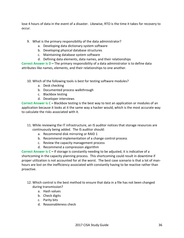lose 4 hours of data in the event of a disaster. Likewise, RTO is the time it takes for recovery to occur.

- 9. What is the primary responsibility of the data administrator?
	- a. Developing data dictionary system software
	- b. Developing physical database structures
	- c. Maintaining database system software
	- d. Defining data elements, data names, and their relationships

**Correct Answer is D – The primary responsibility of a data administrator is to define data** attributes like names, elements, and their relationships to one another.

10. Which of the following tools is best for testing software modules?

- a. Desk checking
- b. Documented process walkthrough
- c. Blackbox testing
- d. Developer interviews

**Correct Answer is C – Blackbox testing is the best way to test an application or modules of an** application because it looks at it the same way a hacker would, which is the most accurate way to calculate the risks associated with it.

- 11. While reviewing the IT infrastructure, an IS auditor notices that storage resources are continuously being added. The IS auditor should:
	- a. Recommend disk mirroring or RAID 1
	- b. Recommend implementation of a change control process
	- c. Review the capacity management process
	- d. Recommend a compression algorithm

**Correct Answer is C –** If storage is constantly needing to be adjusted, it is indicative of a shortcoming in the capacity planning process. This shortcoming could result in downtime if proper utilization is not accounted for at the worst. The best case scenario is that a lot of manhours are lost on the inefficiency associated with constantly having to be reactive rather than proactive.

- 12. Which control is the best method to ensure that data in a file has not been changed during transmission?
	- a. Hash values
	- b. Check digits
	- c. Parity bits
	- d. Reasonableness check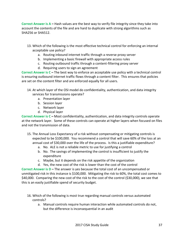**Correct Answer is A –** Hash values are the best way to verify file integrity since they take into account the contents of the file and are hard to duplicate with strong algorithms such as SHA256 or SHA512.

- 13. Which of the following is the most effective technical control for enforcing an internal acceptable use policy?
	- a. Routing inbound internet traffic through a reverse proxy server
	- b. Implementing a basic firewall with appropriate access rules
	- c. Routing outbound traffic through a content-filtering proxy server
	- d. Requiring users to sign an agreement

**Correct Answer is C –** The best way to enforce an acceptable use policy with a technical control is ensuring outbound internet traffic flows through a content filter. This ensures that policies are set on the content filter and are enforced equally for all users.

- 14. At which layer of the OSI model do confidentiality, authentication, and data integrity services for transmissions operate?
	- a. Presentation layer
	- b. Session layer
	- c. Network layer
	- d. Physical layer

**Correct Answer is C –** Most confidentiality, authentication, and data integrity controls operate at the network layer. Some of these controls can operate at higher layers when focused on files and not the transmission of data.

- 15. The Annual Loss Expectancy of a risk without compensating or mitigating controls is expected to be \$100,000. You recommend a control that will save 60% of the loss at an annual cost of \$30,000 over the life of the process. Is this a justifiable expenditure?
	- a. No. ALE is not a reliable metric to use for justifying a control
	- b. No. The savings of implementing the control is insufficient to justify the expenditure
	- c. Maybe, but it depends on the risk appetite of the organization
	- d. Yes, the new cost of the risk is lower than the cost of the control

**Correct Answer is D – The answer is yes because the total cost of an uncompensated or** unmitigated risk in this instance is \$100,000. Mitigating the risk to 60%, the total cost comes to \$40,000. Comparing the new cost of the risk to the cost of the control (\$30,000), we see that this is an easily justifiable spend of security budget.

- 16. Which of the following is most true regarding manual controls versus automated controls?
	- a. Manual controls require human interaction while automated controls do not, but the difference is inconsequential in an audit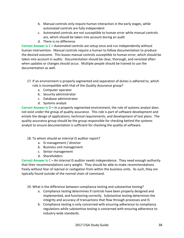- b. Manual controls only require human interaction in the early stages, while automated controls are fully independent
- c. Automated controls are not susceptible to human error while manual controls are, which should be taken into account during an audit
- d. There is no difference

**Correct Answer is C –** Automated controls are setup once and run independently without human intervention. Manual controls require a human to follow documentation to produce the desired outcome. This leaves manual controls susceptible to human error, which should be taken into account in audits. Documentation should be clear, thorough, and revisited often when updates or changes should occur. Multiple people should be trained to use the documentation as well.

- 17. If an environment is properly segmented and separation of duties is adhered to, which role is incompatible with that of the Quality Assurance group?
	- a. Computer operator
	- b. Security administrator
	- c. Database administrator
	- d. Systems analyst

**Correct Answer is D –** In a properly segmented environment, the role of systems analyst does not exist under the group of quality assurance. This role is part of software development and entails the design of applications, technical requirements, and development of test plans. The quality assurance group should be the group responsible for checking behind the systems analyst to ensure documentation is sufficient for checking the quality of software.

- 18. To whom should an internal IS auditor report?
	- a. IS management / director
	- b. Business unit management
	- c. Senior management
	- d. Shareholders

**Correct Answer is C –** An internal IS auditor needs independence. They need enough authority that their recommendations carry weight. They should be able to make recommendations freely without fear of reprisal or castigation from within the business units. As such, they are typically found outside of the normal chain of command.

- 19. What is the difference between compliance testing and substantive testing?
	- a. Compliance testing determines if controls have been properly designed and implemented, and functioning correctly. Substantive testing determines the integrity and accuracy of transactions that flow through processes and IS
	- b. Compliance testing is only concerned with ensuring adherence to compliancy regulations while substantive testing is concerned with ensuring adherence to industry-wide standards.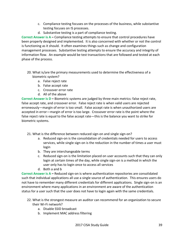- c. Compliance testing focuses on the processes of the business, while substantive testing focuses on IS processes.
- d. Substantive testing is a part of compliance testing.

**Correct Answer is A –** Compliance testing attempts to ensure that control procedures have been properly designed and implemented. It is also concerned with whether or not the control is functioning as it should. It often examines things such as change and configuration management processes. Substantive testing attempts to ensure the accuracy and integrity of information flow. An example would be test transactions that are followed and tested at each phase of the process.

- 20. What is/are the primary measurements used to determine the effectiveness of a biometric system?
	- a. False reject rate
	- b. False accept rate
	- c. Crossover error rate
	- d. All of the above

**Correct Answer is D – Biometric systems are judged by three main metrics: false reject rate,** false accept rate, and crossover error. False reject rate is when valid users are rejected erroneously—margin of error is too small. False accept rate is when unauthorized users are accepted in error—margin of error is too large. Crossover error rate is the point where the false reject rate is equal to the false accept rate—this is the balance you want to strike for biometric systems.

- 21. What is the difference between reduced sign-on and single sign-on?
	- a. Reduced sign-on is the consolidation of credentials needed for users to access services, while single sign-on is the reduction in the number of times a user must login
	- b. They are interchangeable terms
	- c. Reduced sign-on is the limitation placed on user accounts such that they can only login at certain times of the day, while single sign-on is a method in which the user only has to login once to access all services
	- d. Both a and b

**Correct Answer is A –** Reduced sign-on is where authentication repositories are consolidated such that individual applications all use a single source of authentication. This ensures users do not have to remember many different credentials for different applications. Single sign-on is an environment where many applications in an environment are aware of the authentication status for a user such that the user does not have to login again with the same credentials.

- 22. What is the strongest measure an auditor can recommend for an organization to secure their Wi-Fi network?
	- a. Disable SSID broadcast
	- b. Implement MAC address filtering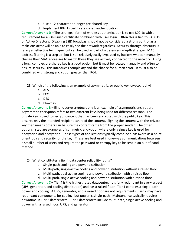- c. Use a 12-character or longer pre-shared key
- d. Implement 802.1x certificate-based authentication

**Correct Answer is D – The strongest form of wireless authentication is to use 802.1x with a** requirement for a PKI-issued certificate combined with user login. Often this is tied to RADIUS or Active Directory. Disabling SSID broadcast should not be considered a strong control as a malicious actor will be able to easily see the network regardless. Security through obscurity is rarely an effective technique, but can be used as part of a defense-in-depth strategy. MAC address filtering is a step up, but is still relatively easily bypassed by hackers who can manually change their MAC addresses to match those they see actively connected to the network. Using a long, complex pre-shared key is a good option, but it must be rotated manually and often to ensure security. This introduces complexity and the chance for human error. It must also be combined with strong encryption greater than RC4.

- 23. Which of the following is an example of asymmetric, or public key, cryptography?
	- a. AES
	- b. ECC
	- c. DES
	- d. Blowfish

**Correct Answer is B –** Elliptic curve cryptography is an example of asymmetric encryption. Asymmetric encryption refers to two different keys being used for different reasons. The private key is used to decrypt content that has been encrypted with the public key. This ensures only the intended recipient can read the content. Signing the content with the private key then means others can be sure the content came from the proper sender. The other options listed are examples of symmetric encryption where only a single key is used for encryption and decryption. These types of applications typically combine a password as a point of entropy and security for the key. These are best used in one-way communications between a small number of users and require the password or entropy key to be sent in an out of band method.

24. What constitutes a tier 4 data center reliability rating?

- a. Single-path cooling and power distribution
- b. Multi-path, single-active cooling and power distribution without a raised floor
- c. Multi-path, dual-active cooling and power distribution with a raised floor
- d. Multi-path, single-active cooling and power distribution with a raised floor

**Correct Answer is C – Tier 4 is the highest rated datacenter. It is fully redundant in every aspect** (UPS, generator, and cooling distribution) and has a raised floor. Tier 1 contains a single-path power and cooling. A UPS, generator, and a raised floor are not requirements. Tier 2 may have redundant components for cooling, but power is single-path. Maintenance typically requires downtime in Tier 2 datacenters. Tier 3 datacenters include multi-path, single active cooling and power with a raised floor, UPS, and generator.